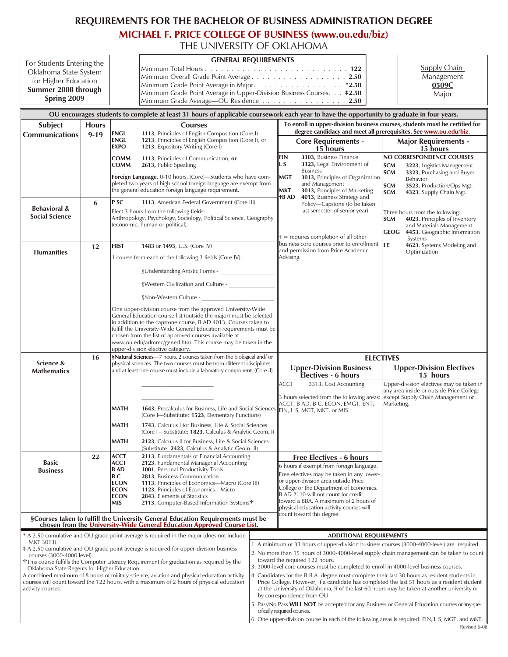## REQUIREMENTS FOR THE BACHELOR OF BUSINESS ADMINISTRATION DEGREE

**[MICHAEL F. PRICE COLLEGE OF BUSINESS \(www.ou.edu/biz\)](http://price.ou.edu/ugrad/)**

THE UNIVERSITY OF OKLAHOMA

| For Students Entering the<br>Oklahoma State System<br>for Higher Education<br>Summer 2008 through<br>Spring 2009                                                                                                                                                                                                                                                                                                                                                                               |                          |                                                                                                            | <b>GENERAL REQUIREMENTS</b><br>Minimum Overall Grade Point Average2.50<br>Minimum Grade Point Average in Upper-Division Business Courses. #2.50<br>Minimum Grade Average-OU Residence 2.50                                                                                                                                                                                                                                                                                                                                                                                                           |  |                                                                                                                                                                                                                                                                                                                                                                                                                                                                                                                                                                                                                                                                                                                                                                                                                                                                                                         |                                                                                                                                                                                                                                                                                                                                                                      | <b>Supply Chain</b><br>Management<br>0509C<br>Major                                                                                                                  |                                                                                                                                         |  |  |  |
|------------------------------------------------------------------------------------------------------------------------------------------------------------------------------------------------------------------------------------------------------------------------------------------------------------------------------------------------------------------------------------------------------------------------------------------------------------------------------------------------|--------------------------|------------------------------------------------------------------------------------------------------------|------------------------------------------------------------------------------------------------------------------------------------------------------------------------------------------------------------------------------------------------------------------------------------------------------------------------------------------------------------------------------------------------------------------------------------------------------------------------------------------------------------------------------------------------------------------------------------------------------|--|---------------------------------------------------------------------------------------------------------------------------------------------------------------------------------------------------------------------------------------------------------------------------------------------------------------------------------------------------------------------------------------------------------------------------------------------------------------------------------------------------------------------------------------------------------------------------------------------------------------------------------------------------------------------------------------------------------------------------------------------------------------------------------------------------------------------------------------------------------------------------------------------------------|----------------------------------------------------------------------------------------------------------------------------------------------------------------------------------------------------------------------------------------------------------------------------------------------------------------------------------------------------------------------|----------------------------------------------------------------------------------------------------------------------------------------------------------------------|-----------------------------------------------------------------------------------------------------------------------------------------|--|--|--|
| OU encourages students to complete at least 31 hours of applicable coursework each year to have the opportunity to graduate in four years.                                                                                                                                                                                                                                                                                                                                                     |                          |                                                                                                            |                                                                                                                                                                                                                                                                                                                                                                                                                                                                                                                                                                                                      |  |                                                                                                                                                                                                                                                                                                                                                                                                                                                                                                                                                                                                                                                                                                                                                                                                                                                                                                         |                                                                                                                                                                                                                                                                                                                                                                      |                                                                                                                                                                      |                                                                                                                                         |  |  |  |
| <b>Subject</b><br>Communications                                                                                                                                                                                                                                                                                                                                                                                                                                                               | <b>Hours</b><br>$9 - 19$ | <b>Courses</b><br>1113, Principles of English Composition (Core I)<br><b>ENGL</b>                          |                                                                                                                                                                                                                                                                                                                                                                                                                                                                                                                                                                                                      |  | To enroll in upper-division business courses, students must be certified for<br>degree candidacy and meet all prerequisites. See www.ou.edu/biz.                                                                                                                                                                                                                                                                                                                                                                                                                                                                                                                                                                                                                                                                                                                                                        |                                                                                                                                                                                                                                                                                                                                                                      |                                                                                                                                                                      |                                                                                                                                         |  |  |  |
|                                                                                                                                                                                                                                                                                                                                                                                                                                                                                                |                          | <b>ENGL</b><br><b>EXPO</b>                                                                                 | 1213, Principles of English Composition (Core I), or<br>1213, Expository Writing (Core I)                                                                                                                                                                                                                                                                                                                                                                                                                                                                                                            |  |                                                                                                                                                                                                                                                                                                                                                                                                                                                                                                                                                                                                                                                                                                                                                                                                                                                                                                         | <b>Core Requirements -</b><br>15 hours                                                                                                                                                                                                                                                                                                                               |                                                                                                                                                                      | <b>Major Requirements -</b><br>15 hours                                                                                                 |  |  |  |
|                                                                                                                                                                                                                                                                                                                                                                                                                                                                                                |                          | <b>COMM</b><br><b>COMM</b>                                                                                 | 1113, Principles of Communication, or<br>2613, Public Speaking                                                                                                                                                                                                                                                                                                                                                                                                                                                                                                                                       |  | FIN<br>L S                                                                                                                                                                                                                                                                                                                                                                                                                                                                                                                                                                                                                                                                                                                                                                                                                                                                                              | 3303, Business Finance<br>3323, Legal Environment of<br><b>Business</b>                                                                                                                                                                                                                                                                                              | <b>SCM</b><br><b>SCM</b>                                                                                                                                             | NO CORRESPONDENCE COURSES<br>3223, Logistics Management<br>3323, Purchasing and Buyer                                                   |  |  |  |
|                                                                                                                                                                                                                                                                                                                                                                                                                                                                                                |                          |                                                                                                            | Foreign Language, 0-10 hours, (Core)-Students who have com-<br>pleted two years of high school foreign language are exempt from<br>the general education foreign language requirement.                                                                                                                                                                                                                                                                                                                                                                                                               |  | MGT<br>MKT<br>†B AD                                                                                                                                                                                                                                                                                                                                                                                                                                                                                                                                                                                                                                                                                                                                                                                                                                                                                     | 3013, Principles of Organization<br>and Management<br>3013, Principles of Marketing<br>4013, Business Strategy and                                                                                                                                                                                                                                                   | <b>SCM</b><br><b>SCM</b>                                                                                                                                             | Behavior<br>3523, Production/Ops Mgt.<br>4323, Supply Chain Mgt.                                                                        |  |  |  |
| <b>Behavioral &amp;</b><br><b>Social Science</b>                                                                                                                                                                                                                                                                                                                                                                                                                                               | 6                        | P SC                                                                                                       | 1113, American Federal Government (Core III)<br>Elect 3 hours from the following fields:<br>Anthropology, Psychology, Sociology, Political Science, Geography<br>(economic, human or political).                                                                                                                                                                                                                                                                                                                                                                                                     |  |                                                                                                                                                                                                                                                                                                                                                                                                                                                                                                                                                                                                                                                                                                                                                                                                                                                                                                         | Policy-Capstone (to be taken<br>last semester of senior year)<br>$t =$ requires completion of all other                                                                                                                                                                                                                                                              | Three hours from the following:<br>4023, Principles of Inventory<br><b>SCM</b><br>and Materials Management<br><b>GEOG</b><br>4453, Geographic Information<br>Systems |                                                                                                                                         |  |  |  |
| <b>Humanities</b>                                                                                                                                                                                                                                                                                                                                                                                                                                                                              | 12                       | <b>HIST</b>                                                                                                | 1483 or 1493, U.S. (Core IV)<br>1 course from each of the following 3 fields (Core IV):<br>§Western Civilization and Culture -<br>§Non-Western Culture -<br>One upper-division course from the approved University-Wide<br>General Education course list (outside the major) must be selected<br>in addition to the capstone course, B AD 4013. Courses taken to<br>fulfill the University-Wide General Education requirements must be<br>chosen from the list of approved courses available at<br>www.ou.edu/admrec/gened.htm. This course may be taken in the<br>upper-division elective category. |  | Advising.                                                                                                                                                                                                                                                                                                                                                                                                                                                                                                                                                                                                                                                                                                                                                                                                                                                                                               | business core courses prior to enrollment<br>and permission from Price Academic                                                                                                                                                                                                                                                                                      | ILE.                                                                                                                                                                 | 4623, Systems Modeling and<br>Optimization                                                                                              |  |  |  |
| Science &                                                                                                                                                                                                                                                                                                                                                                                                                                                                                      | 16                       |                                                                                                            | §Natural Sciences-7 hours, 2 courses taken from the biological and/ or<br>physical sciences. The two courses must be from different disciplines                                                                                                                                                                                                                                                                                                                                                                                                                                                      |  |                                                                                                                                                                                                                                                                                                                                                                                                                                                                                                                                                                                                                                                                                                                                                                                                                                                                                                         |                                                                                                                                                                                                                                                                                                                                                                      | <b>ELECTIVES</b>                                                                                                                                                     |                                                                                                                                         |  |  |  |
| <b>Mathematics</b>                                                                                                                                                                                                                                                                                                                                                                                                                                                                             |                          | and at least one course must include a laboratory component. (Core II)                                     |                                                                                                                                                                                                                                                                                                                                                                                                                                                                                                                                                                                                      |  | <b>Upper-Division Business</b><br>Electives - 6 hours                                                                                                                                                                                                                                                                                                                                                                                                                                                                                                                                                                                                                                                                                                                                                                                                                                                   |                                                                                                                                                                                                                                                                                                                                                                      | <b>Upper-Division Electives</b><br>15 hours                                                                                                                          |                                                                                                                                         |  |  |  |
|                                                                                                                                                                                                                                                                                                                                                                                                                                                                                                |                          | <b>MATH</b><br>MATH<br>MATH                                                                                | 1643, Precalculus for Business, Life and Social Sciences<br>(Core I-Substitute: 1523, Elementary Functions)<br>1743, Calculus I for Business, Life & Social Sciences<br>(Core I—Substitute: 1823, Calculus & Analytic Geom. I)<br>2123, Calculus II for Business, Life & Social Sciences<br>(Substitute: 2423, Calculus & Analytic Geom. II)                                                                                                                                                                                                                                                         |  | ACCT                                                                                                                                                                                                                                                                                                                                                                                                                                                                                                                                                                                                                                                                                                                                                                                                                                                                                                    | 3313, Cost Accounting<br>3 hours selected from the following areas<br>ACCT, B AD, B C, ECON, EMGT, ENT,<br>FIN, L S, MGT, MKT, or MIS.                                                                                                                                                                                                                               |                                                                                                                                                                      | Upper-division electives may be taken in<br>any area inside or outside Price College<br>except Supply Chain Management or<br>Marketing. |  |  |  |
| <b>Basic</b><br><b>Business</b>                                                                                                                                                                                                                                                                                                                                                                                                                                                                | 22                       | <b>ACCT</b><br><b>ACCT</b><br><b>B</b> AD<br>BС<br><b>ECON</b><br><b>ECON</b><br><b>ECON</b><br><b>MIS</b> | 2113, Fundamentals of Financial Accounting<br>2123, Fundamental Managerial Accounting<br>1001, Personal Productivity Tools<br>2813, Business Communication<br>1113, Principles of Economics-Macro (Core III)<br>1123, Principles of Economics-Micro<br>2843, Elements of Statistics<br>2113, Computer-Based Information Systems <sup>+</sup><br>§Courses taken to fulfill the University General Education Requirements must be<br>chosen from the University-Wide General Education Approved Course List.                                                                                           |  |                                                                                                                                                                                                                                                                                                                                                                                                                                                                                                                                                                                                                                                                                                                                                                                                                                                                                                         | <b>Free Electives - 6 hours</b><br>6 hours if exempt from foreign language.<br>Free electives may be taken in any lower-<br>or upper-division area outside Price<br>College or the Department of Economics.<br>B AD 2110 will not count for credit<br>toward a BBA. A maximum of 2 hours of<br>physical education activity courses will<br>count toward this degree. |                                                                                                                                                                      |                                                                                                                                         |  |  |  |
| * A 2.50 cumulative and OU grade point average is required in the major (does not include                                                                                                                                                                                                                                                                                                                                                                                                      |                          |                                                                                                            |                                                                                                                                                                                                                                                                                                                                                                                                                                                                                                                                                                                                      |  |                                                                                                                                                                                                                                                                                                                                                                                                                                                                                                                                                                                                                                                                                                                                                                                                                                                                                                         | <b>ADDITIONAL REQUIREMENTS</b>                                                                                                                                                                                                                                                                                                                                       |                                                                                                                                                                      |                                                                                                                                         |  |  |  |
| MKT 3013).<br>‡ A 2.50 cumulative and OU grade point average is required for upper-division business<br>courses (3000-4000 level).<br>This course fulfills the Computer Literacy Requirement for graduation as required by the<br>Oklahoma State Regents for Higher Education.<br>A combined maximum of 8 hours of military science, aviation and physical education activity<br>courses will count toward the 122 hours, with a maximum of 2 hours of physical education<br>activity courses. |                          |                                                                                                            |                                                                                                                                                                                                                                                                                                                                                                                                                                                                                                                                                                                                      |  | 1. A minimum of 33 hours of upper-division business courses (3000-4000-level) are required.<br>2. No more than 15 hours of 3000-4000-level supply chain management can be taken to count<br>toward the required 122 hours.<br>3. 3000-level core courses must be completed to enroll in 4000-level business courses.<br>4. Candidates for the B.B.A. degree must complete their last 30 hours as resident students in<br>Price College. However, if a candidate has completed the last 51 hours as a resident student<br>at the University of Oklahoma, 9 of the last 60 hours may be taken at another university or<br>by correspondence from OU.<br>5. Pass/No Pass WILL NOT be accepted for any Business or General Education courses or any spe-<br>cifically required courses.<br>6. One upper-division course in each of the following areas is required: FIN, L S, MGT, and MKT.<br>Revised 6-08 |                                                                                                                                                                                                                                                                                                                                                                      |                                                                                                                                                                      |                                                                                                                                         |  |  |  |